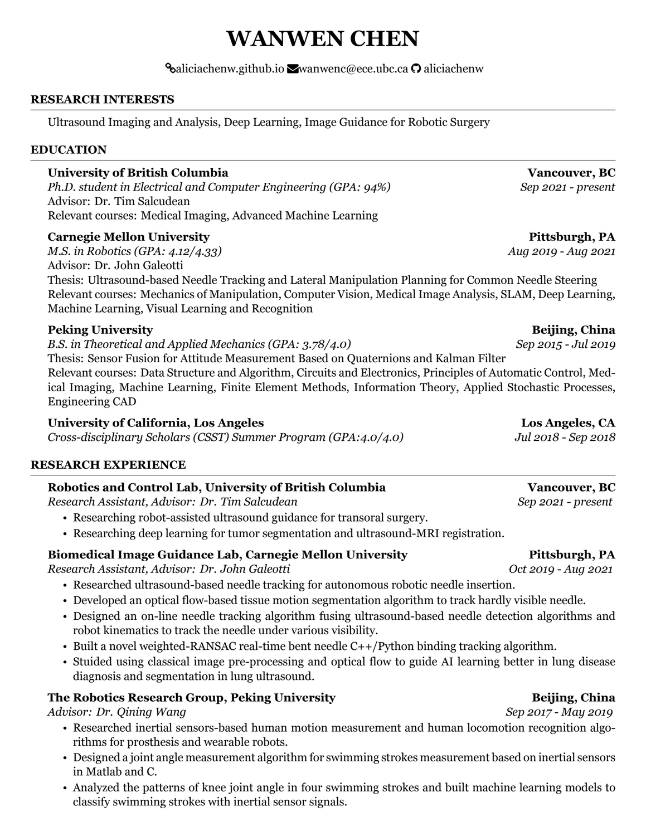# **WANWEN CHEN**

### **Saliciachenw.github.io Wanwenc@ece.ubc.ca**  $\Omega$  **aliciachenw**

### **RESEARCH INTERESTS**

Ultrasound Imaging and Analysis, Deep Learning, Image Guidance for Robotic Surgery

### **EDUCATION**

### **University of British Columbia Vancouver, BC**

*Ph.D. student in Electrical and Computer Engineering (GPA: 94%) Sep 2021 - present* Advisor: Dr. Tim Salcudean Relevant courses: Medical Imaging, Advanced Machine Learning

### **Carnegie Mellon University Pittsburgh, PA**

*M.S. in Robotics (GPA: 4.12/4.33) Aug 2019 - Aug 2021* Advisor: Dr. John Galeotti

Thesis: Ultrasound-based Needle Tracking and Lateral Manipulation Planning for Common Needle Steering Relevant courses: Mechanics of Manipulation, Computer Vision, Medical Image Analysis, SLAM, Deep Learning, Machine Learning, Visual Learning and Recognition

# **Peking University Beijing, China**

*B.S. in Theoretical and Applied Mechanics (GPA: 3.78/4.0) Sep 2015 - Jul 2019*

Thesis: Sensor Fusion for Attitude Measurement Based on Quaternions and Kalman Filter Relevant courses: Data Structure and Algorithm, Circuits and Electronics, Principles of Automatic Control, Medical Imaging, Machine Learning, Finite Element Methods, Information Theory, Applied Stochastic Processes, Engineering CAD

# **University of California, Los Angeles Los Angeles, CA**

*Cross-disciplinary Scholars (CSST) Summer Program (GPA:4.0/4.0) Jul 2018 - Sep 2018*

# **RESEARCH EXPERIENCE**

# **Robotics and Control Lab, University of British Columbia <b>Vancouver, BC**

*Research Assistant, Advisor: Dr. Tim Salcudean Sep 2021 - present*

- Researching robot-assisted ultrasound guidance for transoral surgery.
- Researching deep learning for tumor segmentation and ultrasound-MRI registration.

# **Biomedical Image Guidance Lab, Carnegie Mellon University Pittsburgh, PA**

*Research Assistant, Advisor: Dr. John Galeotti Oct 2019 - Aug 2021*

- Researched ultrasound-based needle tracking for autonomous robotic needle insertion.
- Developed an optical flow-based tissue motion segmentation algorithm to track hardly visible needle.
- Designed an on-line needle tracking algorithm fusing ultrasound-based needle detection algorithms and robot kinematics to track the needle under various visibility.
- Built a novel weighted-RANSAC real-time bent needle C++/Python binding tracking algorithm.
- Stuided using classical image pre-processing and optical flow to guide AI learning better in lung disease diagnosis and segmentation in lung ultrasound.

# **The Robotics Research Group, Peking University Beijing, China**

*Advisor: Dr. Qining Wang Sep 2017 - May 2019*

- Researched inertial sensors-based human motion measurement and human locomotion recognition algorithms for prosthesis and wearable robots.
- Designed a joint angle measurement algorithm for swimming strokes measurement based on inertial sensors in Matlab and C.
- Analyzed the patterns of knee joint angle in four swimming strokes and built machine learning models to classify swimming strokes with inertial sensor signals.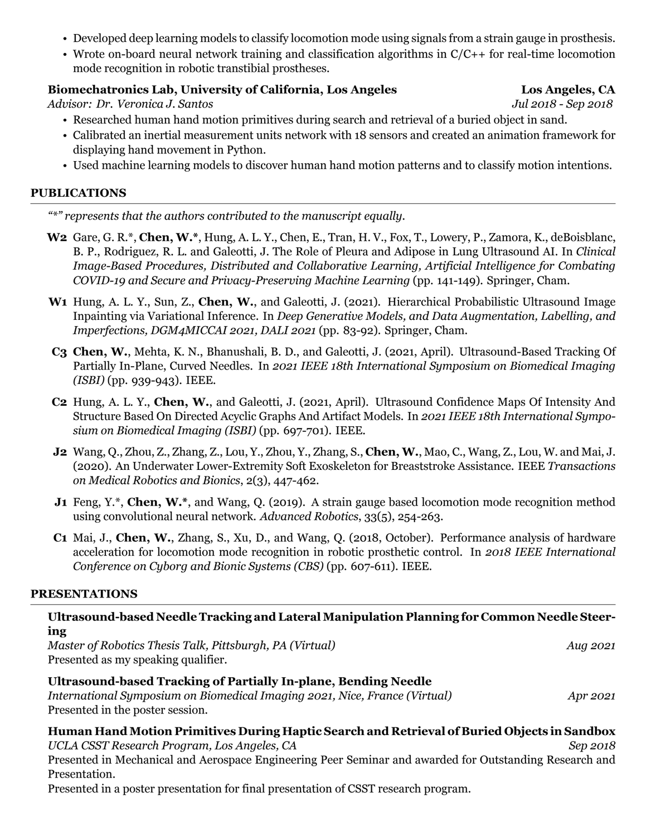- Developed deep learning models to classify locomotion mode using signals from a strain gauge in prosthesis.
- Wrote on-board neural network training and classification algorithms in  $C/C++$  for real-time locomotion mode recognition in robotic transtibial prostheses.

# **Biomechatronics Lab, University of California, Los Angeles Los Angeles, CA**

*Advisor: Dr. Veronica J. Santos Jul 2018 - Sep 2018*

- Researched human hand motion primitives during search and retrieval of a buried object in sand.
- Calibrated an inertial measurement units network with 18 sensors and created an animation framework for displaying hand movement in Python.
- Used machine learning models to discover human hand motion patterns and to classify motion intentions.

### **PUBLICATIONS**

*"\*" represents that the authors contributed to the manuscript equally.*

- **W2** Gare, G. R.\*, **Chen, W.\***, Hung, A. L. Y., Chen, E., Tran, H. V., Fox, T., Lowery, P., Zamora, K., deBoisblanc, B. P., Rodriguez, R. L. and Galeotti, J. The Role of Pleura and Adipose in Lung Ultrasound AI. In *Clinical Image-Based Procedures, Distributed and Collaborative Learning, Artificial Intelligence for Combating COVID-19 and Secure and Privacy-Preserving Machine Learning* (pp. 141-149). Springer, Cham.
- **W1** Hung, A. L. Y., Sun, Z., **Chen, W.**, and Galeotti, J. (2021). Hierarchical Probabilistic Ultrasound Image Inpainting via Variational Inference. In *Deep Generative Models, and Data Augmentation, Labelling, and Imperfections, DGM4MICCAI 2021, DALI 2021* (pp. 83-92). Springer, Cham.
- **C3 Chen, W.**, Mehta, K. N., Bhanushali, B. D., and Galeotti, J. (2021, April). Ultrasound-Based Tracking Of Partially In-Plane, Curved Needles. In *2021 IEEE 18th International Symposium on Biomedical Imaging (ISBI)* (pp. 939-943). IEEE.
- **C2** Hung, A. L. Y., **Chen, W.**, and Galeotti, J. (2021, April). Ultrasound Confidence Maps Of Intensity And Structure Based On Directed Acyclic Graphs And Artifact Models. In *2021 IEEE 18th International Symposium on Biomedical Imaging (ISBI)* (pp. 697-701). IEEE.
- **J2** Wang, Q., Zhou, Z., Zhang, Z., Lou, Y., Zhou, Y., Zhang, S., **Chen, W.**, Mao, C., Wang, Z., Lou, W. and Mai, J. (2020). An Underwater Lower-Extremity Soft Exoskeleton for Breaststroke Assistance. IEEE *Transactions on Medical Robotics and Bionics*, 2(3), 447-462.
- **J1** Feng, Y.\*, **Chen, W.\***, and Wang, Q. (2019). A strain gauge based locomotion mode recognition method using convolutional neural network. *Advanced Robotics*, 33(5), 254-263.
- **C1** Mai, J., **Chen, W.**, Zhang, S., Xu, D., and Wang, Q. (2018, October). Performance analysis of hardware acceleration for locomotion mode recognition in robotic prosthetic control. In *2018 IEEE International Conference on Cyborg and Bionic Systems (CBS)* (pp. 607-611). IEEE.

# **PRESENTATIONS**

# **Ultrasound-based Needle Tracking and Lateral Manipulation Planning for Common Needle Steering** *Master of Robotics Thesis Talk, Pittsburgh, PA (Virtual) Aug 2021* Presented as my speaking qualifier. **Ultrasound-based Tracking of Partially In-plane, Bending Needle** *International Symposium on Biomedical Imaging 2021, Nice, France (Virtual) Apr 2021* Presented in the poster session. **Human Hand Motion Primitives During Haptic Search and Retrieval of Buried Objects in Sandbox** *UCLA CSST Research Program, Los Angeles, CA Sep 2018* Presented in Mechanical and Aerospace Engineering Peer Seminar and awarded for Outstanding Research and Presentation.

Presented in a poster presentation for final presentation of CSST research program.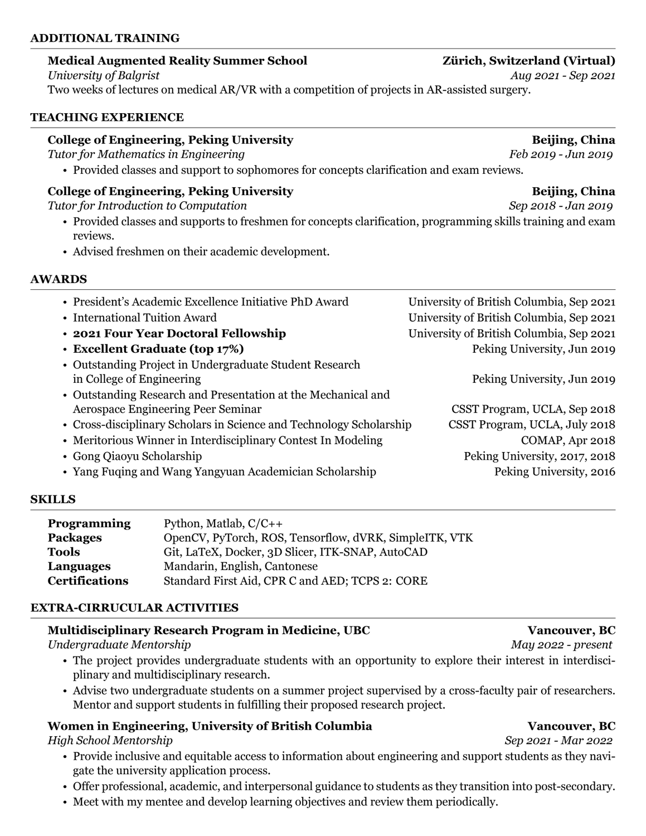### **ADDITIONAL TRAINING**

### **Medical Augmented Reality Summer School Zürich, Switzerland (Virtual)**

Two weeks of lectures on medical AR/VR with a competition of projects in AR-assisted surgery.

### **TEACHING EXPERIENCE**

### **College of Engineering, Peking University Beijing, China**

*Tutor for Mathematics in Engineering Feb 2019 - Jun 2019*

• Provided classes and support to sophomores for concepts clarification and exam reviews.

# **College of Engineering, Peking University Beijing, China**

*Tutor for Introduction to Computation Sep 2018 - Jan 2019*

- Provided classes and supports to freshmen for concepts clarification, programming skills training and exam reviews.
- Advised freshmen on their academic development.

### **AWARDS**

| • President's Academic Excellence Initiative PhD Award                               | University of British Columbia, Sep 2021 |
|--------------------------------------------------------------------------------------|------------------------------------------|
| • International Tuition Award                                                        | University of British Columbia, Sep 2021 |
| • 2021 Four Year Doctoral Fellowship                                                 | University of British Columbia, Sep 2021 |
| • Excellent Graduate (top 17%)                                                       | Peking University, Jun 2019              |
| • Outstanding Project in Undergraduate Student Research<br>in College of Engineering | Peking University, Jun 2019              |
| • Outstanding Research and Presentation at the Mechanical and                        |                                          |
| Aerospace Engineering Peer Seminar                                                   | CSST Program, UCLA, Sep 2018             |
| • Cross-disciplinary Scholars in Science and Technology Scholarship                  | CSST Program, UCLA, July 2018            |
| • Meritorious Winner in Interdisciplinary Contest In Modeling                        | COMAP, Apr 2018                          |
| • Gong Qiaoyu Scholarship                                                            | Peking University, 2017, 2018            |
| • Yang Fuqing and Wang Yangyuan Academician Scholarship                              | Peking University, 2016                  |

### **SKILLS**

| <b>Programming</b>    | Python, Matlab, $C/C++$                                |
|-----------------------|--------------------------------------------------------|
| <b>Packages</b>       | OpenCV, PyTorch, ROS, Tensorflow, dVRK, SimpleITK, VTK |
| Tools                 | Git, LaTeX, Docker, 3D Slicer, ITK-SNAP, AutoCAD       |
| <b>Languages</b>      | Mandarin, English, Cantonese                           |
| <b>Certifications</b> | Standard First Aid, CPR C and AED; TCPS 2: CORE        |

# **EXTRA-CIRRUCULAR ACTIVITIES**

# **Multidisciplinary Research Program in Medicine, UBC Vancouver, BC**

*Undergraduate Mentorship May 2022 - present*

- The project provides undergraduate students with an opportunity to explore their interest in interdisciplinary and multidisciplinary research.
- Advise two undergraduate students on a summer project supervised by a cross-faculty pair of researchers. Mentor and support students in fulfilling their proposed research project.

# **Women in Engineering, University of British Columbia <b>Vancouver, BC**

*High School Mentorship Sep 2021 - Mar 2022*

- Provide inclusive and equitable access to information about engineering and support students as they navigate the university application process.
- Offer professional, academic, and interpersonal guidance to students as they transition into post-secondary.
- Meet with my mentee and develop learning objectives and review them periodically.

*University of Balgrist Aug 2021 - Sep 2021*